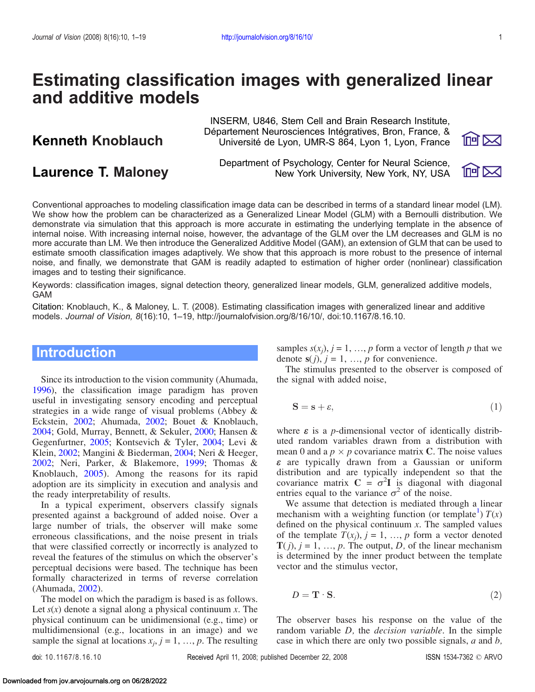<span id="page-0-0"></span>INSERM, U846, Stem Cell and Brain Research Institute, Département Neurosciences Intégratives, Bron, France, & Kenneth Knoblauch<br>Université de Lyon, UMR-S 864, Lyon 1, Lyon, France



# Laurence T. Maloney

Department of Psychology, Center for Neural Science,<br>New York University, New York, NY, USA



Conventional approaches to modeling classification image data can be described in terms of a standard linear model (LM). We show how the problem can be characterized as a Generalized Linear Model (GLM) with a Bernoulli distribution. We demonstrate via simulation that this approach is more accurate in estimating the underlying template in the absence of internal noise. With increasing internal noise, however, the advantage of the GLM over the LM decreases and GLM is no more accurate than LM. We then introduce the Generalized Additive Model (GAM), an extension of GLM that can be used to estimate smooth classification images adaptively. We show that this approach is more robust to the presence of internal noise, and finally, we demonstrate that GAM is readily adapted to estimation of higher order (nonlinear) classification images and to testing their significance.

Keywords: classification images, signal detection theory, generalized linear models, GLM, generalized additive models, GAM

Citation: Knoblauch, K., & Maloney, L. T. (2008). Estimating classification images with generalized linear and additive models. Journal of Vision, 8(16):10, 1*–*19, http://journalofvision.org/8/16/10/, doi:10.1167/8.16.10.

# **Introduction**

Since its introduction to the vision community (Ahumada, [1996\)](#page-17-0), the classification image paradigm has proven useful in investigating sensory encoding and perceptual strategies in a wide range of visual problems (Abbey & Eckstein, [2002](#page-16-0); Ahumada, [2002;](#page-17-0) Bouet & Knoblauch, [2004;](#page-17-0) Gold, Murray, Bennett, & Sekuler, [2000;](#page-17-0) Hansen & Gegenfurtner, [2005;](#page-17-0) Kontsevich & Tyler, [2004;](#page-17-0) Levi & Klein, [2002;](#page-17-0) Mangini & Biederman, [2004](#page-17-0); Neri & Heeger, [2002](#page-17-0); Neri, Parker, & Blakemore, [1999;](#page-17-0) Thomas & Knoblauch, [2005](#page-18-0)). Among the reasons for its rapid adoption are its simplicity in execution and analysis and the ready interpretability of results.

In a typical experiment, observers classify signals presented against a background of added noise. Over a large number of trials, the observer will make some erroneous classifications, and the noise present in trials that were classified correctly or incorrectly is analyzed to reveal the features of the stimulus on which the observer's perceptual decisions were based. The technique has been formally characterized in terms of reverse correlation (Ahumada, [2002\)](#page-17-0).

The model on which the paradigm is based is as follows. Let  $s(x)$  denote a signal along a physical continuum x. The physical continuum can be unidimensional (e.g., time) or multidimensional (e.g., locations in an image) and we sample the signal at locations  $x_i$ ,  $j = 1, ..., p$ . The resulting

samples  $s(x_i)$ ,  $i = 1, ..., p$  form a vector of length p that we denote  $s(j), j = 1, ..., p$  for convenience.

The stimulus presented to the observer is composed of the signal with added noise,

$$
S = s + \varepsilon,\tag{1}
$$

where  $\varepsilon$  is a *p*-dimensional vector of identically distributed random variables drawn from a distribution with mean 0 and a  $p \times p$  covariance matrix C. The noise values  $\epsilon$  are typically drawn from a Gaussian or uniform distribution and are typically independent so that the covariance matrix  $C = \sigma^2 I$  is diagonal with diagonal entries equal to the variance  $\sigma^2$  of the noise.

We assume that detection is mediated through a linear mechanism with a weighting function (or template<sup>1</sup>)  $T(x)$ defined on the physical continuum  $x$ . The sampled values of the template  $T(x_i)$ ,  $j = 1, ..., p$  form a vector denoted  $T(j)$ ,  $j = 1, ..., p$ . The output, D, of the linear mechanism is determined by the inner product between the template vector and the stimulus vector,

$$
D = \mathbf{T} \cdot \mathbf{S}.\tag{2}
$$

The observer bases his response on the value of the random variable *D*, the *decision variable*. In the simple case in which there are only two possible signals, a and b,

Downloaded from jov.arvojournals.org on 06/28/2022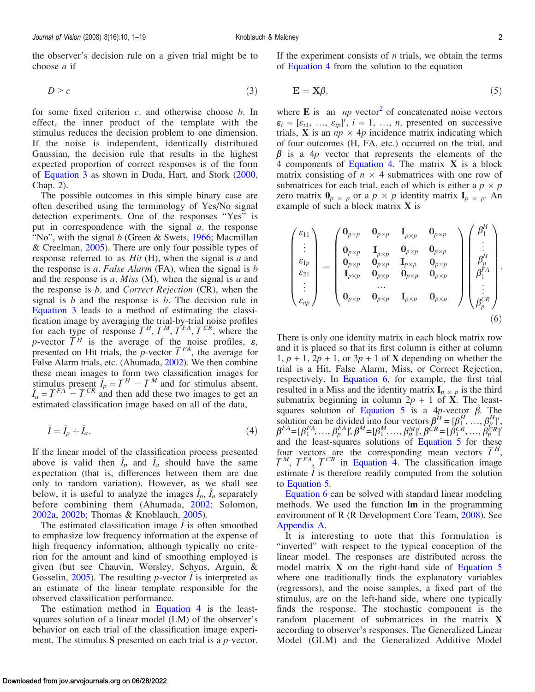<span id="page-1-0"></span>
$$
D > c \tag{3}
$$

for some fixed criterion  $c$ , and otherwise choose  $b$ . In effect, the inner product of the template with the stimulus reduces the decision problem to one dimension. If the noise is independent, identically distributed Gaussian, the decision rule that results in the highest expected proportion of correct responses is of the form of Equation 3 as shown in Duda, Hart, and Stork ([2000](#page-17-0), Chap. 2).

The possible outcomes in this simple binary case are often described using the terminology of Yes/No signal detection experiments. One of the responses "Yes" is put in correspondence with the signal  $a$ , the response "No", with the signal  $b$  (Green & Swets, [1966](#page-17-0); Macmillan & Creelman, [2005\)](#page-17-0). There are only four possible types of response referred to as  $Hit(H)$ , when the signal is  $a$  and the response is  $a$ , False Alarm (FA), when the signal is  $b$ and the response is  $a$ , Miss (M), when the signal is  $a$  and the response is b, and Correct Rejection (CR), when the signal is  $b$  and the response is  $b$ . The decision rule in Equation 3 leads to a method of estimating the classification image by averaging the trial-by-trial noise profiles for each type of response  $\overline{I}^H$ ,  $\overline{I}^M$ ,  $\overline{I}^{FA}$ ,  $\overline{I}^{CR}$ , where the p-vector  $\overline{I}^H$  is the average of the noise profiles,  $\varepsilon$ , presented on Hit trials, the p-vector  $\overline{I}^{FA}$ , the average for False Alarm trials, etc. (Ahumada, [2002\)](#page-17-0). We then combine these mean images to form two classification images for stimulus present  $\hat{I}_p = T^H - T^M$  and for stimulus absent,  $\hat{I}_a = T^{FA} - T^{CR}$  and then add these two images to get an estimated classification image based on all of the data,

$$
\hat{I} = \hat{I}_p + \hat{I}_a. \tag{4}
$$

If the linear model of the classification process presented above is valid then  $I_p$  and  $I_a$  should have the same expectation (that is, differences between them are due only to random variation). However, as we shall see below, it is useful to analyze the images  $I_p$ ,  $\hat{I}_a$  separately before combining them (Ahumada, [2002;](#page-17-0) Solomon, [2002a,](#page-18-0) [2002b;](#page-18-0) Thomas & Knoblauch, [2005\)](#page-18-0).

The estimated classification image  $I$  is often smoothed to emphasize low frequency information at the expense of high frequency information, although typically no criterion for the amount and kind of smoothing employed is given (but see Chauvin, Worsley, Schyns, Arguin, & Gosselin, [2005\)](#page-17-0). The resulting *p*-vector  $\tilde{I}$  is interpreted as an estimate of the linear template responsible for the observed classification performance.

The estimation method in Equation 4 is the leastsquares solution of a linear model (LM) of the observer's behavior on each trial of the classification image experiment. The stimulus S presented on each trial is a *p*-vector. If the experiment consists of  $n$  trials, we obtain the terms of Equation 4 from the solution to the equation

$$
\mathbf{E} = \mathbf{X}\boldsymbol{\beta},\tag{5}
$$

where E is an  $np$  vector<sup>[2](#page-16-0)</sup> of concatenated noise vectors  $\varepsilon_i = [\varepsilon_{i1}, \ldots, \varepsilon_{ip}]^{\prime}, i = 1, \ldots, n$ , presented on successive trials, **X** is an  $np \times 4p$  incidence matrix indicating which of four outcomes (H, FA, etc.) occurred on the trial, and  $\beta$  is a 4p vector that represents the elements of the 4 components of Equation 4. The matrix X is a block matrix consisting of  $n \times 4$  submatrices with one row of submatrices for each trial, each of which is either a  $p \times p$ zero matrix  $\mathbf{0}_{p \times p}$  or a  $p \times p$  identity matrix  $\mathbf{I}_{p \times p}$ . An example of such a block matrix X is

$$
\begin{pmatrix}\n\varepsilon_{11} \\
\vdots \\
\varepsilon_{1p} \\
\varepsilon_{21} \\
\vdots \\
\varepsilon_{np}\n\end{pmatrix} = \begin{pmatrix}\n\mathbf{0}_{p\times p} & \mathbf{0}_{p\times p} & \mathbf{I}_{p\times p} & \mathbf{0}_{p\times p} \\
\mathbf{0}_{p\times p} & \mathbf{I}_{p\times p} & \mathbf{0}_{p\times p} & \mathbf{0}_{p\times p} \\
\mathbf{0}_{p\times p} & \mathbf{0}_{p\times p} & \mathbf{I}_{p\times p} & \mathbf{0}_{p\times p} \\
\mathbf{I}_{p\times p} & \mathbf{0}_{p\times p} & \mathbf{0}_{p\times p} & \mathbf{0}_{p\times p} \\
\vdots & \vdots & \ddots & \vdots \\
\mathbf{0}_{p\times p} & \mathbf{0}_{p\times p} & \mathbf{I}_{p\times p} & \mathbf{0}_{p\times p}\n\end{pmatrix} \begin{pmatrix}\n\beta_1^H \\
\vdots \\
\beta_1^H \\
\beta_1^H \\
\vdots \\
\beta_p^C \\
\vdots \\
\beta_p^C\n\end{pmatrix}.
$$
\n(6)

There is only one identity matrix in each block matrix row and it is placed so that its first column is either at column  $1, p + 1, 2p + 1$ , or  $3p + 1$  of **X** depending on whether the trial is a Hit, False Alarm, Miss, or Correct Rejection, respectively. In Equation 6, for example, the first trial resulted in a Miss and the identity matrix  $I_{p \times p}$  is the third submatrix beginning in column  $2p + 1$  of **X**. The leastsquares solution of Equation 5 is a 4p-vector  $\hat{\beta}$ . The solution can be divided into four vectors  $\beta^H = [\beta_1^H, ..., \beta_p^H]$ ,  $\beta^{FA}=[\beta_1^{FA},\ldots,\beta_p^{FA}]',\beta^M=[\beta_1^{M},\ldots,\beta_p^{M}]',\beta^{CR}=[\beta_1^{CR},\ldots,\beta_p^{CR}]'$ and the least-squares solutions of Equation 5 for these four vectors are the corresponding mean vectors  $\overline{I}^H$ ,  $\overline{I}^{M}$ ,  $\overline{I}^{FA}$ ,  $\overline{I}^{CR}$  in Equation 4. The classification image estimate  $\hat{I}$  is therefore readily computed from the solution to Equation 5.

Equation 6 can be solved with standard linear modeling methods. We used the function lm in the programming environment of R (R Development Core Team, [2008\)](#page-17-0). See [Appendix A](#page-14-0).

It is interesting to note that this formulation is "inverted" with respect to the typical conception of the linear model. The responses are distributed across the model matrix  $X$  on the right-hand side of Equation 5 where one traditionally finds the explanatory variables (regressors), and the noise samples, a fixed part of the stimulus, are on the left-hand side, where one typically finds the response. The stochastic component is the random placement of submatrices in the matrix X according to observer's responses. The Generalized Linear Model (GLM) and the Generalized Additive Model

 $H = H + H$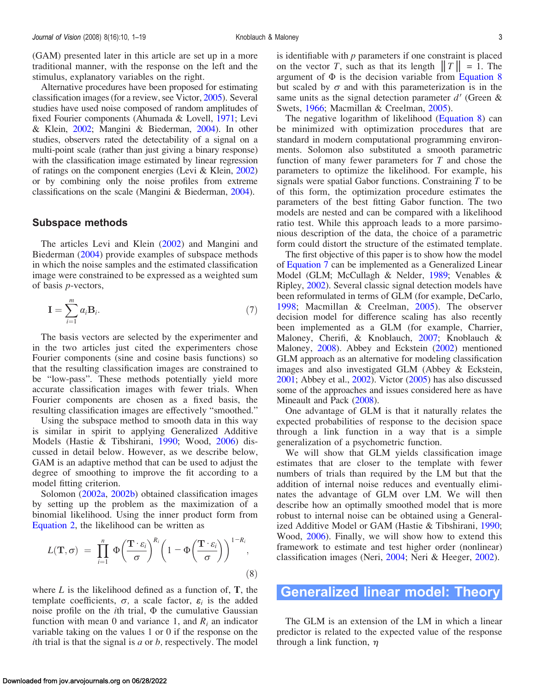<span id="page-2-0"></span>Alternative procedures have been proposed for estimating classification images (for a review, see Victor, [2005](#page-18-0)). Several studies have used noise composed of random amplitudes of fixed Fourier components (Ahumada & Lovell, [1971;](#page-17-0) Levi & Klein, [2002;](#page-17-0) Mangini & Biederman, [2004\)](#page-17-0). In other studies, observers rated the detectability of a signal on a multi-point scale (rather than just giving a binary response) with the classification image estimated by linear regression of ratings on the component energies (Levi & Klein, [2002\)](#page-17-0) or by combining only the noise profiles from extreme classifications on the scale (Mangini & Biederman, [2004](#page-17-0)).

### Subspace methods

The articles Levi and Klein [\(2002](#page-17-0)) and Mangini and Biederman [\(2004](#page-17-0)) provide examples of subspace methods in which the noise samples and the estimated classification image were constrained to be expressed as a weighted sum of basis p-vectors,

$$
\mathbf{I} = \sum_{i=1}^{m} \alpha_i \mathbf{B}_i. \tag{7}
$$

The basis vectors are selected by the experimenter and in the two articles just cited the experimenters chose Fourier components (sine and cosine basis functions) so that the resulting classification images are constrained to be "low-pass". These methods potentially yield more accurate classification images with fewer trials. When Fourier components are chosen as a fixed basis, the resulting classification images are effectively "smoothed."

Using the subspace method to smooth data in this way is similar in spirit to applying Generalized Additive Models (Hastie & Tibshirani, [1990](#page-17-0); Wood, [2006](#page-18-0)) discussed in detail below. However, as we describe below, GAM is an adaptive method that can be used to adjust the degree of smoothing to improve the fit according to a model fitting criterion.

Solomon ([2002a,](#page-18-0) [2002b](#page-18-0)) obtained classification images by setting up the problem as the maximization of a binomial likelihood. Using the inner product form from [Equation 2,](#page-0-0) the likelihood can be written as

$$
L(\mathbf{T}, \sigma) = \prod_{i=1}^{n} \Phi\left(\frac{\mathbf{T} \cdot \varepsilon_{i}}{\sigma}\right)^{R_{i}} \left(1 - \Phi\left(\frac{\mathbf{T} \cdot \varepsilon_{i}}{\sigma}\right)\right)^{1 - R_{i}},
$$
\n(8)

where  $L$  is the likelihood defined as a function of,  $T$ , the template coefficients,  $\sigma$ , a scale factor,  $\varepsilon$ <sub>i</sub> is the added noise profile on the *i*th trial,  $\Phi$  the cumulative Gaussian function with mean 0 and variance 1, and  $R_i$  an indicator variable taking on the values 1 or 0 if the response on the *i*th trial is that the signal is  $a$  or  $b$ , respectively. The model is identifiable with  $p$  parameters if one constraint is placed on the vector T, such as that its length  $||T|| = 1$ . The argument of  $\Phi$  is the decision variable from Equation 8 but scaled by  $\sigma$  and with this parameterization is in the same units as the signal detection parameter  $d'$  (Green  $\&$ Swets, [1966](#page-17-0); Macmillan & Creelman, [2005](#page-17-0)).

The negative logarithm of likelihood (Equation 8) can be minimized with optimization procedures that are standard in modern computational programming environments. Solomon also substituted a smooth parametric function of many fewer parameters for T and chose the parameters to optimize the likelihood. For example, his signals were spatial Gabor functions. Constraining  $T$  to be of this form, the optimization procedure estimates the parameters of the best fitting Gabor function. The two models are nested and can be compared with a likelihood ratio test. While this approach leads to a more parsimonious description of the data, the choice of a parametric form could distort the structure of the estimated template.

The first objective of this paper is to show how the model of Equation 7 can be implemented as a Generalized Linear Model (GLM; McCullagh & Nelder, [1989;](#page-17-0) Venables & Ripley, [2002\)](#page-18-0). Several classic signal detection models have been reformulated in terms of GLM (for example, DeCarlo, [1998](#page-17-0); Macmillan & Creelman, [2005\)](#page-17-0). The observer decision model for difference scaling has also recently been implemented as a GLM (for example, Charrier, Maloney, Cherifi, & Knoblauch, [2007](#page-17-0); Knoblauch & Maloney, [2008\)](#page-17-0). Abbey and Eckstein ([2002](#page-16-0)) mentioned GLM approach as an alternative for modeling classification images and also investigated GLM (Abbey & Eckstein, [2001](#page-16-0); Abbey et al., [2002\)](#page-16-0). Victor [\(2005](#page-18-0)) has also discussed some of the approaches and issues considered here as have Mineault and Pack [\(2008\)](#page-17-0).

One advantage of GLM is that it naturally relates the expected probabilities of response to the decision space through a link function in a way that is a simple generalization of a psychometric function.

We will show that GLM yields classification image estimates that are closer to the template with fewer numbers of trials than required by the LM but that the addition of internal noise reduces and eventually eliminates the advantage of GLM over LM. We will then describe how an optimally smoothed model that is more robust to internal noise can be obtained using a Generalized Additive Model or GAM (Hastie & Tibshirani, [1990;](#page-17-0) Wood, [2006\)](#page-18-0). Finally, we will show how to extend this framework to estimate and test higher order (nonlinear) classification images (Neri, [2004;](#page-17-0) Neri & Heeger, [2002\)](#page-17-0).

# Generalized linear model: Theory

The GLM is an extension of the LM in which a linear predictor is related to the expected value of the response through a link function,  $\eta$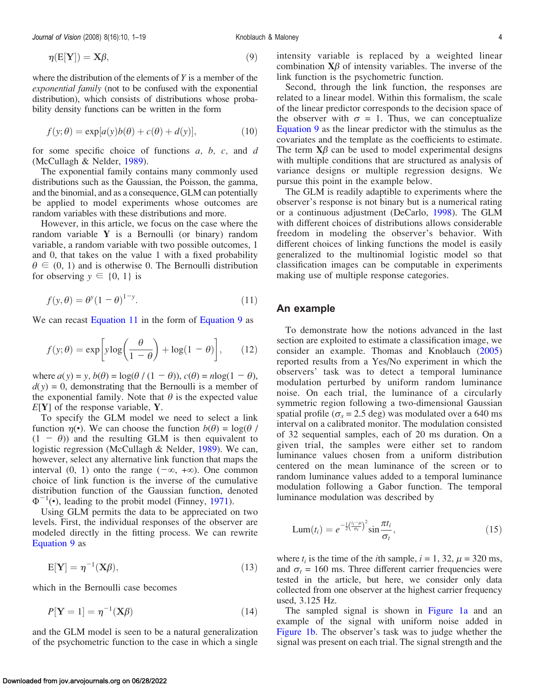<span id="page-3-0"></span>Journal of Vision (2008) 8(16):10, 1–19 Knoblauch & Maloney 4

$$
\eta(E[Y]) = X\beta,\tag{9}
$$

where the distribution of the elements of  $Y$  is a member of the exponential family (not to be confused with the exponential distribution), which consists of distributions whose probability density functions can be written in the form

$$
f(y; \theta) = \exp[a(y)b(\theta) + c(\theta) + d(y)], \qquad (10)
$$

for some specific choice of functions  $a, b, c,$  and  $d$ (McCullagh & Nelder, [1989\)](#page-17-0).

The exponential family contains many commonly used distributions such as the Gaussian, the Poisson, the gamma, and the binomial, and as a consequence, GLM can potentially be applied to model experiments whose outcomes are random variables with these distributions and more.

However, in this article, we focus on the case where the random variable  $Y$  is a Bernoulli (or binary) random variable, a random variable with two possible outcomes, 1 and 0, that takes on the value 1 with a fixed probability  $\theta \in (0, 1)$  and is otherwise 0. The Bernoulli distribution for observing  $y \in \{0, 1\}$  is

$$
f(y,\theta) = \theta^y (1-\theta)^{1-y}.
$$
 (11)

We can recast Equation 11 in the form of [Equation 9](#page-2-0) as

$$
f(y; \theta) = \exp\left[y \log\left(\frac{\theta}{1-\theta}\right) + \log(1-\theta)\right], \qquad (12)
$$

where  $a(y) = y$ ,  $b(\theta) = \log(\theta / (1 - \theta))$ ,  $c(\theta) = n\log(1 - \theta)$ ,  $d(y) = 0$ , demonstrating that the Bernoulli is a member of the exponential family. Note that  $\theta$  is the expected value  $E[Y]$  of the response variable, Y.

To specify the GLM model we need to select a link function  $\eta(\cdot)$ . We can choose the function  $b(\theta) = \log(\theta / \theta)$  $(1 - \theta)$ ) and the resulting GLM is then equivalent to logistic regression (McCullagh & Nelder, [1989](#page-17-0)). We can, however, select any alternative link function that maps the interval (0, 1) onto the range ( $-\infty$ ,  $+\infty$ ). One common choice of link function is the inverse of the cumulative distribution function of the Gaussian function, denoted  $\Phi^{-1}(\cdot)$ , leading to the probit model (Finney, [1971\)](#page-17-0).

Using GLM permits the data to be appreciated on two levels. First, the individual responses of the observer are modeled directly in the fitting process. We can rewrite [Equation 9](#page-2-0) as

$$
E[Y] = \eta^{-1}(X\beta),\tag{13}
$$

which in the Bernoulli case becomes

$$
P[\mathbf{Y} = 1] = \eta^{-1}(\mathbf{X}\beta)
$$
\n(14)

and the GLM model is seen to be a natural generalization of the psychometric function to the case in which a single intensity variable is replaced by a weighted linear combination  $X\beta$  of intensity variables. The inverse of the link function is the psychometric function.

Second, through the link function, the responses are related to a linear model. Within this formalism, the scale of the linear predictor corresponds to the decision space of the observer with  $\sigma = 1$ . Thus, we can conceptualize [Equation 9](#page-2-0) as the linear predictor with the stimulus as the covariates and the template as the coefficients to estimate. The term  $X\beta$  can be used to model experimental designs with multiple conditions that are structured as analysis of variance designs or multiple regression designs. We pursue this point in the example below.

The GLM is readily adaptible to experiments where the observer's response is not binary but is a numerical rating or a continuous adjustment (DeCarlo, [1998](#page-17-0)). The GLM with different choices of distributions allows considerable freedom in modeling the observer's behavior. With different choices of linking functions the model is easily generalized to the multinomial logistic model so that classification images can be computable in experiments making use of multiple response categories.

### An example

To demonstrate how the notions advanced in the last section are exploited to estimate a classification image, we consider an example. Thomas and Knoblauch [\(2005](#page-18-0)) reported results from a Yes/No experiment in which the observers' task was to detect a temporal luminance modulation perturbed by uniform random luminance noise. On each trial, the luminance of a circularly symmetric region following a two-dimensional Gaussian spatial profile ( $\sigma_s$  = 2.5 deg) was modulated over a 640 ms interval on a calibrated monitor. The modulation consisted of 32 sequential samples, each of 20 ms duration. On a given trial, the samples were either set to random luminance values chosen from a uniform distribution centered on the mean luminance of the screen or to random luminance values added to a temporal luminance modulation following a Gabor function. The temporal luminance modulation was described by

$$
\text{Lum}(t_i) = e^{-\frac{1}{2} \left(\frac{t_i - \mu}{\sigma_t}\right)^2} \sin \frac{\pi t_i}{\sigma_t},\tag{15}
$$

where  $t_i$  is the time of the *i*th sample,  $i = 1, 32, \mu = 320$  ms, and  $\sigma_t$  = 160 ms. Three different carrier frequencies were tested in the article, but here, we consider only data collected from one observer at the highest carrier frequency used, 3.125 Hz.

The sampled signal is shown in [Figure 1a](#page-4-0) and an example of the signal with uniform noise added in [Figure 1b.](#page-4-0) The observer's task was to judge whether the signal was present on each trial. The signal strength and the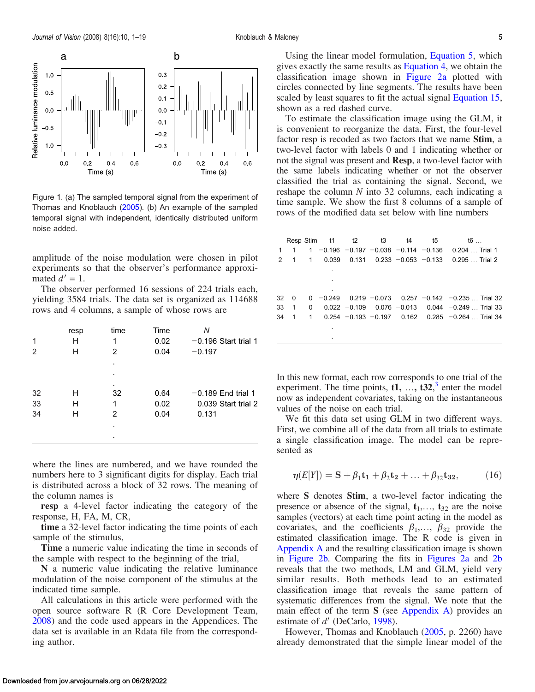<span id="page-4-0"></span>

Figure 1. (a) The sampled temporal signal from the experiment of Thomas and Knoblauch ([2005\)](#page-18-0). (b) An example of the sampled temporal signal with independent, identically distributed uniform noise added.

amplitude of the noise modulation were chosen in pilot experiments so that the observer's performance approximated  $d' = 1$ .

The observer performed 16 sessions of 224 trials each, yielding 3584 trials. The data set is organized as 114688 rows and 4 columns, a sample of whose rows are

|    | resp | time | Time | Ν                      |
|----|------|------|------|------------------------|
| 1  | н    | 1    | 0.02 | $-0.196$ Start trial 1 |
| 2  | н    | 2    | 0.04 | $-0.197$               |
|    |      | ٠    |      |                        |
|    |      |      |      |                        |
|    |      | ٠    |      |                        |
| 32 | н    | 32   | 0.64 | $-0.189$ End trial 1   |
| 33 | н    | 1    | 0.02 | 0.039 Start trial 2    |
| 34 | н    | 2    | 0.04 | 0.131                  |
|    |      |      |      |                        |
|    |      | ٠    |      |                        |
|    |      |      |      |                        |

where the lines are numbered, and we have rounded the numbers here to 3 significant digits for display. Each trial is distributed across a block of 32 rows. The meaning of the column names is

resp a 4-level factor indicating the category of the response, H, FA, M, CR,

time a 32-level factor indicating the time points of each sample of the stimulus,

Time a numeric value indicating the time in seconds of the sample with respect to the beginning of the trial,

N a numeric value indicating the relative luminance modulation of the noise component of the stimulus at the indicated time sample.

All calculations in this article were performed with the open source software R (R Core Development Team, [2008\)](#page-17-0) and the code used appears in the Appendices. The data set is available in an Rdata file from the corresponding author.

Using the linear model formulation, [Equation 5,](#page-1-0) which gives exactly the same results as [Equation 4](#page-1-0), we obtain the classification image shown in [Figure 2a](#page-5-0) plotted with circles connected by line segments. The results have been scaled by least squares to fit the actual signal [Equation 15](#page-3-0), shown as a red dashed curve.

To estimate the classification image using the GLM, it is convenient to reorganize the data. First, the four-level factor resp is recoded as two factors that we name Stim, a two-level factor with labels 0 and 1 indicating whether or not the signal was present and Resp, a two-level factor with the same labels indicating whether or not the observer classified the trial as containing the signal. Second, we reshape the column N into 32 columns, each indicating a time sample. We show the first 8 columns of a sample of rows of the modified data set below with line numbers

|                     |                |   | Resp Stim t1 | t2 t3 t4 | t5                                     | 16                                                         |
|---------------------|----------------|---|--------------|----------|----------------------------------------|------------------------------------------------------------|
| 1.                  | 1              |   |              |          | $1 -0.196 -0.197 -0.038 -0.114 -0.136$ | $0.204$ Trial 1                                            |
| $\mathcal{P} \quad$ | $\overline{1}$ | 1 |              |          | $0.039$ 0.131 0.233 -0.053 -0.133      | $0.295$ Trial 2                                            |
|                     |                |   |              |          |                                        |                                                            |
|                     |                |   |              |          |                                        |                                                            |
|                     |                |   |              |          |                                        |                                                            |
| 32                  | - 0            |   |              |          |                                        | 0 $-0.249$ 0.219 $-0.073$ 0.257 $-0.142$ $-0.235$ Trial 32 |
| 33                  | 1              | 0 |              |          |                                        | $0.022 - 0.109$ 0.076 $-0.013$ 0.044 $-0.249$ Trial 33     |
| 34                  | 1              | 1 |              |          |                                        | $0.254 -0.193 -0.197$ 0.162 0.285 $-0.264$ Trial 34        |
|                     |                |   |              |          |                                        |                                                            |
|                     |                |   |              |          |                                        |                                                            |

In this new format, each row corresponds to one trial of the experiment. The time points,  $t1, \ldots, t32$  $t1, \ldots, t32$  $t1, \ldots, t32$ , enter the model now as independent covariates, taking on the instantaneous values of the noise on each trial.

We fit this data set using GLM in two different ways. First, we combine all of the data from all trials to estimate a single classification image. The model can be represented as

$$
\eta(E[Y]) = S + \beta_1 t_1 + \beta_2 t_2 + \dots + \beta_{32} t_{32},\tag{16}
$$

where S denotes Stim, a two-level factor indicating the presence or absence of the signal,  $t_1, \ldots, t_{32}$  are the noise samples (vectors) at each time point acting in the model as covariates, and the coefficients  $\beta_1, \dots, \beta_{32}$  provide the estimated classification image. The R code is given in [Appendix A](#page-14-0) and the resulting classification image is shown in [Figure 2b.](#page-5-0) Comparing the fits in [Figures 2a](#page-5-0) and [2b](#page-5-0) reveals that the two methods, LM and GLM, yield very similar results. Both methods lead to an estimated classification image that reveals the same pattern of systematic differences from the signal. We note that the main effect of the term S (see [Appendix A\)](#page-14-0) provides an estimate of  $d'$  (DeCarlo, [1998\)](#page-17-0).

However, Thomas and Knoblauch ([2005,](#page-18-0) p. 2260) have already demonstrated that the simple linear model of the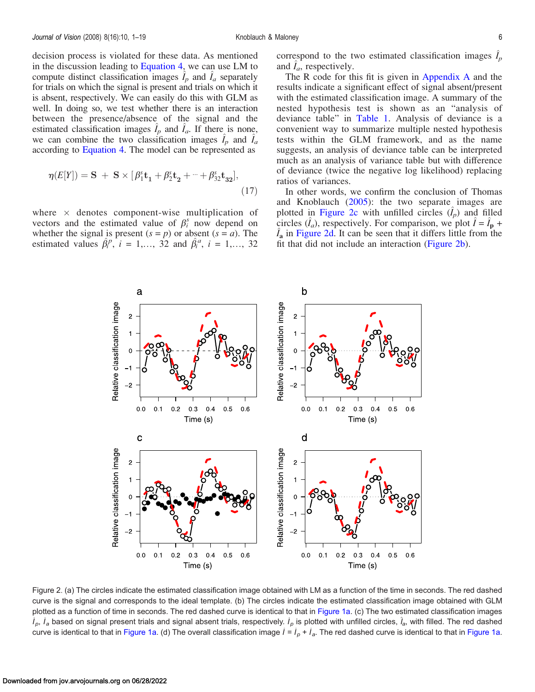<span id="page-5-0"></span>decision process is violated for these data. As mentioned in the discussion leading to [Equation 4](#page-1-0), we can use LM to compute distinct classification images  $I_p$  and  $I_a$  separately for trials on which the signal is present and trials on which it is absent, respectively. We can easily do this with GLM as well. In doing so, we test whether there is an interaction between the presence/absence of the signal and the estimated classification images  $I_p$  and  $I_a$ . If there is none, we can combine the two classification images  $I_p$  and  $I_a$ according to [Equation 4.](#page-1-0) The model can be represented as

$$
\eta(E[Y]) = \mathbf{S} + \mathbf{S} \times [\beta_1^s \mathbf{t}_1 + \beta_2^s \mathbf{t}_2 + \dots + \beta_{32}^s \mathbf{t}_{32}],
$$
\n(17)

where  $\times$  denotes component-wise multiplication of vectors and the estimated value of  $\beta_i^s$  now depend on whether the signal is present  $(s = p)$  or absent  $(s = a)$ . The estimated values  $\hat{\beta}_i^p$ ,  $i = 1,..., 32$  and  $\hat{\beta}_i^a$ ,  $i = 1,..., 32$ 

correspond to the two estimated classification images  $I_p$ and  $\hat{I}_a$ , respectively.

The R code for this fit is given in [Appendix A](#page-14-0) and the results indicate a significant effect of signal absent/present with the estimated classification image. A summary of the nested hypothesis test is shown as an "analysis of deviance table" in [Table 1](#page-6-0). Analysis of deviance is a convenient way to summarize multiple nested hypothesis tests within the GLM framework, and as the name suggests, an analysis of deviance table can be interpreted much as an analysis of variance table but with difference of deviance (twice the negative log likelihood) replacing ratios of variances.

In other words, we confirm the conclusion of Thomas and Knoblauch [\(2005](#page-18-0)): the two separate images are plotted in Figure 2c with unfilled circles  $(\hat{I}_p)$  and filled circles  $(\hat{I}_a)$ , respectively. For comparison, we plot  $\hat{I} = \hat{I}_p + \hat{I}_a$  in Figure 2d. It can be seen that it differs little from the fit that did not include an interaction (Figure 2b).



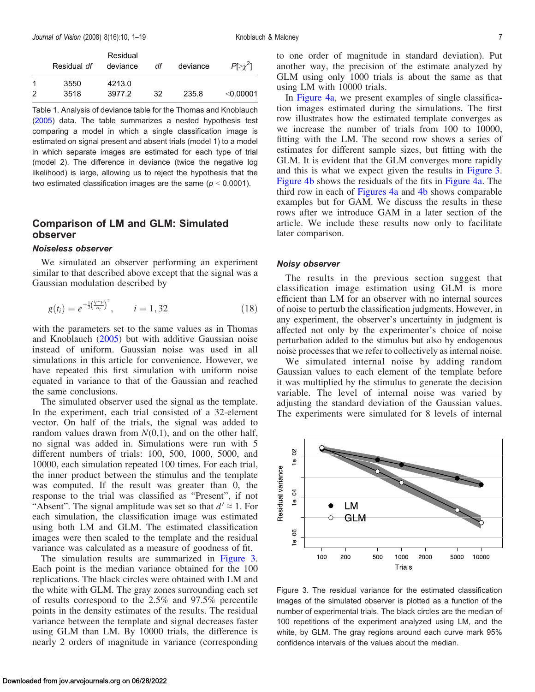<span id="page-6-0"></span>

| Residual df | Residual<br>deviance | df | deviance | $P[\geq \chi^2]$ |
|-------------|----------------------|----|----------|------------------|
| 3550        | 4213.0               |    |          |                  |
| 3518        | 3977.2               | 32 | 235.8    | $<$ 0.00001      |
|             |                      |    |          |                  |

Table 1. Analysis of deviance table for the Thomas and Knoblauch ([2005\)](#page-18-0) data. The table summarizes a nested hypothesis test comparing a model in which a single classification image is estimated on signal present and absent trials (model 1) to a model in which separate images are estimated for each type of trial (model 2). The difference in deviance (twice the negative log likelihood) is large, allowing us to reject the hypothesis that the two estimated classification images are the same ( $p < 0.0001$ ).

### Comparison of LM and GLM: Simulated observer

#### Noiseless observer

We simulated an observer performing an experiment similar to that described above except that the signal was a Gaussian modulation described by

$$
g(t_i) = e^{-\frac{1}{2} \left(\frac{t_i - \mu}{\sigma_t}\right)^2}, \qquad i = 1, 32 \tag{18}
$$

with the parameters set to the same values as in Thomas and Knoblauch ([2005\)](#page-18-0) but with additive Gaussian noise instead of uniform. Gaussian noise was used in all simulations in this article for convenience. However, we have repeated this first simulation with uniform noise equated in variance to that of the Gaussian and reached the same conclusions.

The simulated observer used the signal as the template. In the experiment, each trial consisted of a 32-element vector. On half of the trials, the signal was added to random values drawn from  $N(0,1)$ , and on the other half, no signal was added in. Simulations were run with 5 different numbers of trials: 100, 500, 1000, 5000, and 10000, each simulation repeated 100 times. For each trial, the inner product between the stimulus and the template was computed. If the result was greater than 0, the response to the trial was classified as "Present", if not "Absent". The signal amplitude was set so that  $d' \approx 1$ . For each simulation, the classification image was estimated using both LM and GLM. The estimated classification images were then scaled to the template and the residual variance was calculated as a measure of goodness of fit.

The simulation results are summarized in Figure 3. Each point is the median variance obtained for the 100 replications. The black circles were obtained with LM and the white with GLM. The gray zones surrounding each set of results correspond to the 2.5% and 97.5% percentile points in the density estimates of the results. The residual variance between the template and signal decreases faster using GLM than LM. By 10000 trials, the difference is nearly 2 orders of magnitude in variance (corresponding

to one order of magnitude in standard deviation). Put another way, the precision of the estimate analyzed by GLM using only 1000 trials is about the same as that using LM with 10000 trials.

In [Figure 4a,](#page-7-0) we present examples of single classification images estimated during the simulations. The first row illustrates how the estimated template converges as we increase the number of trials from 100 to 10000, fitting with the LM. The second row shows a series of estimates for different sample sizes, but fitting with the GLM. It is evident that the GLM converges more rapidly and this is what we expect given the results in Figure 3. [Figure 4b](#page-7-0) shows the residuals of the fits in [Figure 4a.](#page-7-0) The third row in each of [Figures 4a](#page-7-0) and [4b](#page-7-0) shows comparable examples but for GAM. We discuss the results in these rows after we introduce GAM in a later section of the article. We include these results now only to facilitate later comparison.

#### Noisy observer

The results in the previous section suggest that classification image estimation using GLM is more efficient than LM for an observer with no internal sources of noise to perturb the classification judgments. However, in any experiment, the observer's uncertainty in judgment is affected not only by the experimenter's choice of noise perturbation added to the stimulus but also by endogenous noise processes that we refer to collectively as internal noise.

We simulated internal noise by adding random Gaussian values to each element of the template before it was multiplied by the stimulus to generate the decision variable. The level of internal noise was varied by adjusting the standard deviation of the Gaussian values. The experiments were simulated for 8 levels of internal



Figure 3. The residual variance for the estimated classification images of the simulated observer is plotted as a function of the number of experimental trials. The black circles are the median of 100 repetitions of the experiment analyzed using LM, and the white, by GLM. The gray regions around each curve mark 95% confidence intervals of the values about the median.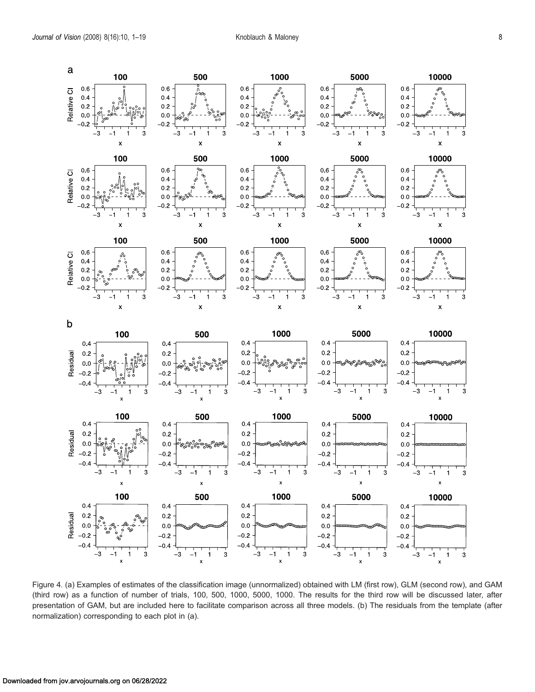<span id="page-7-0"></span>

Figure 4. (a) Examples of estimates of the classification image (unnormalized) obtained with LM (first row), GLM (second row), and GAM (third row) as a function of number of trials, 100, 500, 1000, 5000, 1000. The results for the third row will be discussed later, after presentation of GAM, but are included here to facilitate comparison across all three models. (b) The residuals from the template (after normalization) corresponding to each plot in (a).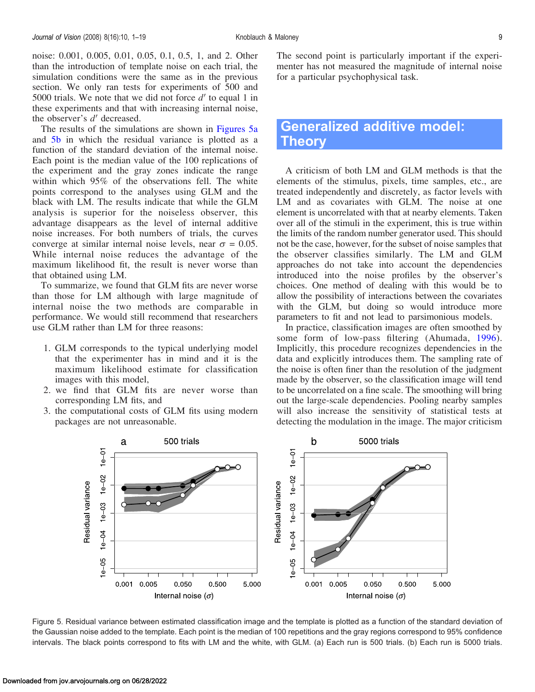<span id="page-8-0"></span>noise: 0.001, 0.005, 0.01, 0.05, 0.1, 0.5, 1, and 2. Other than the introduction of template noise on each trial, the simulation conditions were the same as in the previous section. We only ran tests for experiments of 500 and 5000 trials. We note that we did not force  $d'$  to equal 1 in these experiments and that with increasing internal noise, the observer's  $d'$  decreased.

The results of the simulations are shown in Figures 5a and 5b in which the residual variance is plotted as a function of the standard deviation of the internal noise. Each point is the median value of the 100 replications of the experiment and the gray zones indicate the range within which 95% of the observations fell. The white points correspond to the analyses using GLM and the black with LM. The results indicate that while the GLM analysis is superior for the noiseless observer, this advantage disappears as the level of internal additive noise increases. For both numbers of trials, the curves converge at similar internal noise levels, near  $\sigma = 0.05$ . While internal noise reduces the advantage of the maximum likelihood fit, the result is never worse than that obtained using LM.

To summarize, we found that GLM fits are never worse than those for LM although with large magnitude of internal noise the two methods are comparable in performance. We would still recommend that researchers use GLM rather than LM for three reasons:

- 1. GLM corresponds to the typical underlying model that the experimenter has in mind and it is the maximum likelihood estimate for classification images with this model,
- 2. we find that GLM fits are never worse than corresponding LM fits, and
- 3. the computational costs of GLM fits using modern packages are not unreasonable.

The second point is particularly important if the experimenter has not measured the magnitude of internal noise for a particular psychophysical task.

# Generalized additive model: **Theory**

A criticism of both LM and GLM methods is that the elements of the stimulus, pixels, time samples, etc., are treated independently and discretely, as factor levels with LM and as covariates with GLM. The noise at one element is uncorrelated with that at nearby elements. Taken over all of the stimuli in the experiment, this is true within the limits of the random number generator used. This should not be the case, however, for the subset of noise samples that the observer classifies similarly. The LM and GLM approaches do not take into account the dependencies introduced into the noise profiles by the observer's choices. One method of dealing with this would be to allow the possibility of interactions between the covariates with the GLM, but doing so would introduce more parameters to fit and not lead to parsimonious models.

In practice, classification images are often smoothed by some form of low-pass filtering (Ahumada, [1996](#page-17-0)). Implicitly, this procedure recognizes dependencies in the data and explicitly introduces them. The sampling rate of the noise is often finer than the resolution of the judgment made by the observer, so the classification image will tend to be uncorrelated on a fine scale. The smoothing will bring out the large-scale dependencies. Pooling nearby samples will also increase the sensitivity of statistical tests at detecting the modulation in the image. The major criticism



Figure 5. Residual variance between estimated classification image and the template is plotted as a function of the standard deviation of the Gaussian noise added to the template. Each point is the median of 100 repetitions and the gray regions correspond to 95% confidence intervals. The black points correspond to fits with LM and the white, with GLM. (a) Each run is 500 trials. (b) Each run is 5000 trials.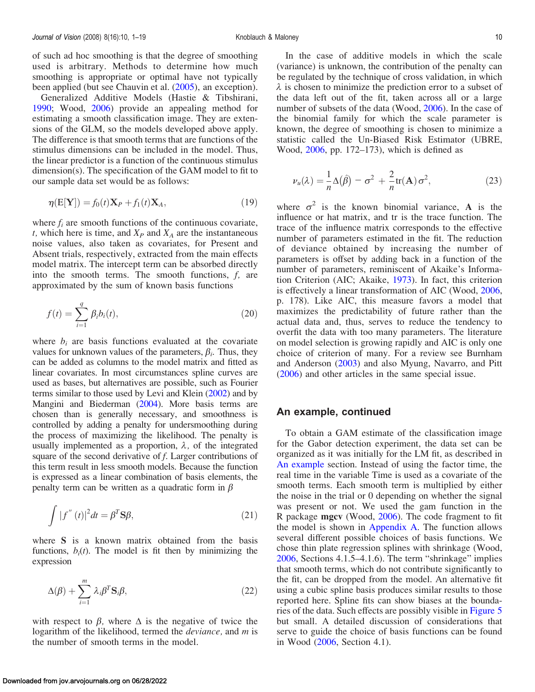of such ad hoc smoothing is that the degree of smoothing used is arbitrary. Methods to determine how much smoothing is appropriate or optimal have not typically been applied (but see Chauvin et al. ([2005\)](#page-17-0), an exception).

Generalized Additive Models (Hastie & Tibshirani, [1990;](#page-17-0) Wood, [2006](#page-18-0)) provide an appealing method for estimating a smooth classification image. They are extensions of the GLM, so the models developed above apply. The difference is that smooth terms that are functions of the stimulus dimensions can be included in the model. Thus, the linear predictor is a function of the continuous stimulus dimension(s). The specification of the GAM model to fit to our sample data set would be as follows:

$$
\eta(\mathbf{E}[\mathbf{Y}]) = f_0(t)\mathbf{X}_P + f_1(t)\mathbf{X}_A,\tag{19}
$$

where  $f_i$  are smooth functions of the continuous covariate, t, which here is time, and  $X_P$  and  $X_A$  are the instantaneous noise values, also taken as covariates, for Present and Absent trials, respectively, extracted from the main effects model matrix. The intercept term can be absorbed directly into the smooth terms. The smooth functions,  $f$ , are approximated by the sum of known basis functions

$$
f(t) = \sum_{i=1}^{q} \beta_i b_i(t),
$$
\n(20)

where  $b_i$  are basis functions evaluated at the covariate values for unknown values of the parameters,  $\beta_i$ . Thus, they can be added as columns to the model matrix and fitted as linear covariates. In most circumstances spline curves are used as bases, but alternatives are possible, such as Fourier terms similar to those used by Levi and Klein ([2002\)](#page-17-0) and by Mangini and Biederman [\(2004\)](#page-17-0). More basis terms are chosen than is generally necessary, and smoothness is controlled by adding a penalty for undersmoothing during the process of maximizing the likelihood. The penalty is usually implemented as a proportion,  $\lambda$ , of the integrated square of the second derivative of f. Larger contributions of this term result in less smooth models. Because the function is expressed as a linear combination of basis elements, the penalty term can be written as a quadratic form in  $\beta$ 

$$
\int |f''(t)|^2 dt = \beta^T \mathbf{S} \beta,
$$
\n(21)

where S is a known matrix obtained from the basis functions,  $b_i(t)$ . The model is fit then by minimizing the expression

$$
\Delta(\beta) + \sum_{i=1}^{m} \lambda_i \beta^T \mathbf{S}_i \beta,
$$
 (22)

with respect to  $\beta$ , where  $\Delta$  is the negative of twice the logarithm of the likelihood, termed the *deviance*, and *m* is the number of smooth terms in the model.

In the case of additive models in which the scale (variance) is unknown, the contribution of the penalty can be regulated by the technique of cross validation, in which  $\lambda$  is chosen to minimize the prediction error to a subset of the data left out of the fit, taken across all or a large number of subsets of the data (Wood, [2006\)](#page-18-0). In the case of the binomial family for which the scale parameter is known, the degree of smoothing is chosen to minimize a statistic called the Un-Biased Risk Estimator (UBRE, Wood, [2006,](#page-18-0) pp. 172–173), which is defined as

$$
\nu_u(\lambda) = \frac{1}{n}\Delta(\hat{\beta}) - \sigma^2 + \frac{2}{n}\text{tr}(\mathbf{A})\sigma^2,
$$
 (23)

where  $\sigma^2$  is the known binomial variance, A is the influence or hat matrix, and tr is the trace function. The trace of the influence matrix corresponds to the effective number of parameters estimated in the fit. The reduction of deviance obtained by increasing the number of parameters is offset by adding back in a function of the number of parameters, reminiscent of Akaike's Information Criterion (AIC; Akaike, [1973](#page-17-0)). In fact, this criterion is effectively a linear transformation of AIC (Wood, [2006](#page-18-0), p. 178). Like AIC, this measure favors a model that maximizes the predictability of future rather than the actual data and, thus, serves to reduce the tendency to overfit the data with too many parameters. The literature on model selection is growing rapidly and AIC is only one choice of criterion of many. For a review see Burnham and Anderson [\(2003\)](#page-17-0) and also Myung, Navarro, and Pitt [\(2006](#page-17-0)) and other articles in the same special issue.

#### An example, continued

To obtain a GAM estimate of the classification image for the Gabor detection experiment, the data set can be organized as it was initially for the LM fit, as described in [An example](#page-3-0) section. Instead of using the factor time, the real time in the variable Time is used as a covariate of the smooth terms. Each smooth term is multiplied by either the noise in the trial or 0 depending on whether the signal was present or not. We used the gam function in the R package mgcv (Wood, [2006\)](#page-18-0). The code fragment to fit the model is shown in [Appendix A.](#page-14-0) The function allows several different possible choices of basis functions. We chose thin plate regression splines with shrinkage (Wood, [2006,](#page-18-0) Sections 4.1.5–4.1.6). The term "shrinkage" implies that smooth terms, which do not contribute significantly to the fit, can be dropped from the model. An alternative fit using a cubic spline basis produces similar results to those reported here. Spline fits can show biases at the boundaries of the data. Such effects are possibly visible in [Figure 5](#page-8-0) but small. A detailed discussion of considerations that serve to guide the choice of basis functions can be found in Wood ([2006,](#page-18-0) Section 4.1).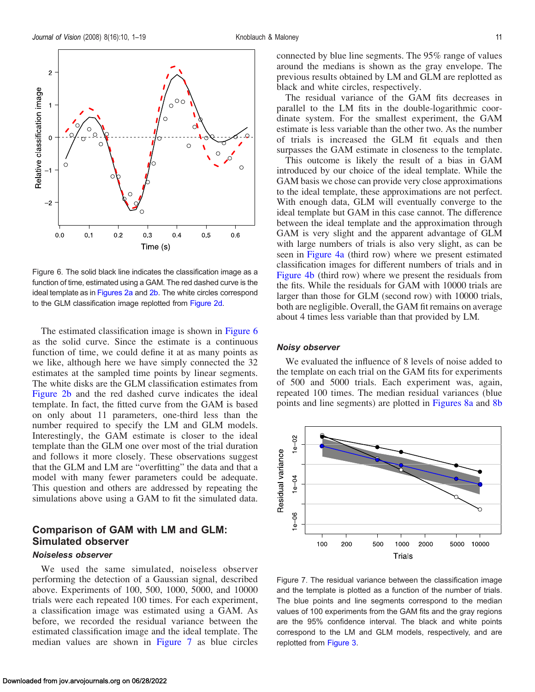<span id="page-10-0"></span>

Figure 6. The solid black line indicates the classification image as a function of time, estimated using a GAM. The red dashed curve is the ideal template as in [Figures 2a](#page-5-0) and [2b.](#page-5-0) The white circles correspond to the GLM classification image replotted from [Figure 2d.](#page-5-0)

The estimated classification image is shown in Figure 6 as the solid curve. Since the estimate is a continuous function of time, we could define it at as many points as we like, although here we have simply connected the 32 estimates at the sampled time points by linear segments. The white disks are the GLM classification estimates from [Figure 2b](#page-5-0) and the red dashed curve indicates the ideal template. In fact, the fitted curve from the GAM is based on only about 11 parameters, one-third less than the number required to specify the LM and GLM models. Interestingly, the GAM estimate is closer to the ideal template than the GLM one over most of the trial duration and follows it more closely. These observations suggest that the GLM and LM are "overfitting" the data and that a model with many fewer parameters could be adequate. This question and others are addressed by repeating the simulations above using a GAM to fit the simulated data.

## Comparison of GAM with LM and GLM: Simulated observer

#### Noiseless observer

We used the same simulated, noiseless observer performing the detection of a Gaussian signal, described above. Experiments of 100, 500, 1000, 5000, and 10000 trials were each repeated 100 times. For each experiment, a classification image was estimated using a GAM. As before, we recorded the residual variance between the estimated classification image and the ideal template. The median values are shown in Figure 7 as blue circles

connected by blue line segments. The 95% range of values around the medians is shown as the gray envelope. The previous results obtained by LM and GLM are replotted as black and white circles, respectively.

The residual variance of the GAM fits decreases in parallel to the LM fits in the double-logarithmic coordinate system. For the smallest experiment, the GAM estimate is less variable than the other two. As the number of trials is increased the GLM fit equals and then surpasses the GAM estimate in closeness to the template.

This outcome is likely the result of a bias in GAM introduced by our choice of the ideal template. While the GAM basis we chose can provide very close approximations to the ideal template, these approximations are not perfect. With enough data, GLM will eventually converge to the ideal template but GAM in this case cannot. The difference between the ideal template and the approximation through GAM is very slight and the apparent advantage of GLM with large numbers of trials is also very slight, as can be seen in [Figure 4a](#page-7-0) (third row) where we present estimated classification images for different numbers of trials and in [Figure 4b](#page-7-0) (third row) where we present the residuals from the fits. While the residuals for GAM with 10000 trials are larger than those for GLM (second row) with 10000 trials, both are negligible. Overall, the GAM fit remains on average about 4 times less variable than that provided by LM.

#### Noisy observer

We evaluated the influence of 8 levels of noise added to the template on each trial on the GAM fits for experiments of 500 and 5000 trials. Each experiment was, again, repeated 100 times. The median residual variances (blue points and line segments) are plotted in [Figures 8a](#page-11-0) and [8b](#page-11-0)



Figure 7. The residual variance between the classification image and the template is plotted as a function of the number of trials. The blue points and line segments correspond to the median values of 100 experiments from the GAM fits and the gray regions are the 95% confidence interval. The black and white points correspond to the LM and GLM models, respectively, and are replotted from [Figure 3.](#page-6-0)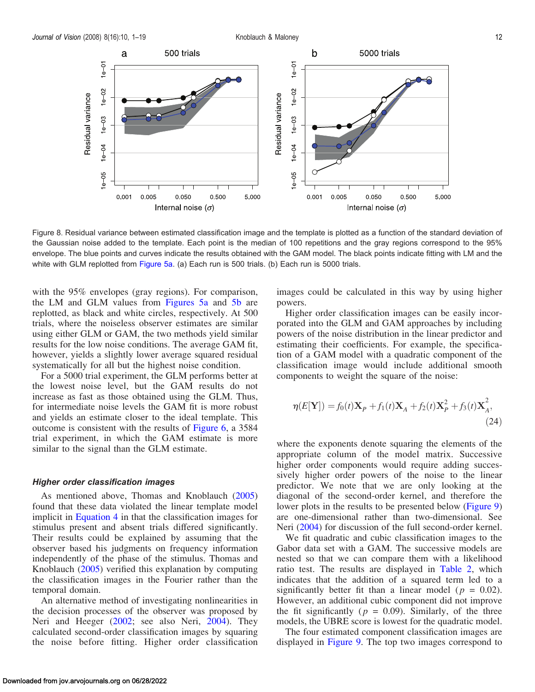<span id="page-11-0"></span>

Figure 8. Residual variance between estimated classification image and the template is plotted as a function of the standard deviation of the Gaussian noise added to the template. Each point is the median of 100 repetitions and the gray regions correspond to the 95% envelope. The blue points and curves indicate the results obtained with the GAM model. The black points indicate fitting with LM and the white with GLM replotted from [Figure 5a.](#page-8-0) (a) Each run is 500 trials. (b) Each run is 5000 trials.

with the 95% envelopes (gray regions). For comparison, the LM and GLM values from [Figures 5a](#page-8-0) and [5b](#page-8-0) are replotted, as black and white circles, respectively. At 500 trials, where the noiseless observer estimates are similar using either GLM or GAM, the two methods yield similar results for the low noise conditions. The average GAM fit, however, yields a slightly lower average squared residual systematically for all but the highest noise condition.

For a 5000 trial experiment, the GLM performs better at the lowest noise level, but the GAM results do not increase as fast as those obtained using the GLM. Thus, for intermediate noise levels the GAM fit is more robust and yields an estimate closer to the ideal template. This outcome is consistent with the results of [Figure 6,](#page-10-0) a 3584 trial experiment, in which the GAM estimate is more similar to the signal than the GLM estimate.

#### Higher order classification images

As mentioned above, Thomas and Knoblauch ([2005\)](#page-18-0) found that these data violated the linear template model implicit in [Equation 4](#page-1-0) in that the classification images for stimulus present and absent trials differed significantly. Their results could be explained by assuming that the observer based his judgments on frequency information independently of the phase of the stimulus. Thomas and Knoblauch [\(2005](#page-18-0)) verified this explanation by computing the classification images in the Fourier rather than the temporal domain.

An alternative method of investigating nonlinearities in the decision processes of the observer was proposed by Neri and Heeger [\(2002](#page-17-0); see also Neri, [2004](#page-17-0)). They calculated second-order classification images by squaring the noise before fitting. Higher order classification

images could be calculated in this way by using higher powers.

Higher order classification images can be easily incorporated into the GLM and GAM approaches by including powers of the noise distribution in the linear predictor and estimating their coefficients. For example, the specification of a GAM model with a quadratic component of the classification image would include additional smooth components to weight the square of the noise:

$$
\eta(E[\mathbf{Y}]) = f_0(t)\mathbf{X}_P + f_1(t)\mathbf{X}_A + f_2(t)\mathbf{X}_P^2 + f_3(t)\mathbf{X}_A^2,
$$
\n(24)

where the exponents denote squaring the elements of the appropriate column of the model matrix. Successive higher order components would require adding successively higher order powers of the noise to the linear predictor. We note that we are only looking at the diagonal of the second-order kernel, and therefore the lower plots in the results to be presented below [\(Figure 9](#page-12-0)) are one-dimensional rather than two-dimensional. See Neri [\(2004\)](#page-17-0) for discussion of the full second-order kernel.

We fit quadratic and cubic classification images to the Gabor data set with a GAM. The successive models are nested so that we can compare them with a likelihood ratio test. The results are displayed in [Table 2,](#page-12-0) which indicates that the addition of a squared term led to a significantly better fit than a linear model ( $p = 0.02$ ). However, an additional cubic component did not improve the fit significantly ( $p = 0.09$ ). Similarly, of the three models, the UBRE score is lowest for the quadratic model.

The four estimated component classification images are displayed in [Figure 9](#page-12-0). The top two images correspond to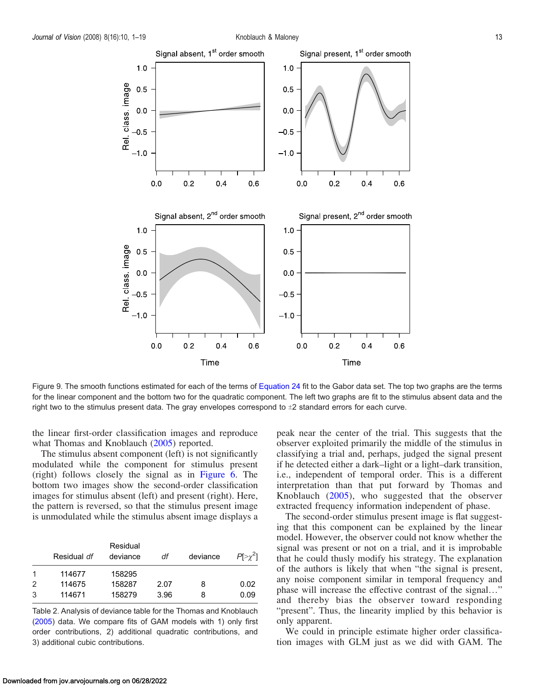<span id="page-12-0"></span>

Figure 9. The smooth functions estimated for each of the terms of [Equation 24](#page-11-0) fit to the Gabor data set. The top two graphs are the terms for the linear component and the bottom two for the quadratic component. The left two graphs are fit to the stimulus absent data and the right two to the stimulus present data. The gray envelopes correspond to  $\pm 2$  standard errors for each curve.

the linear first-order classification images and reproduce what Thomas and Knoblauch ([2005\)](#page-18-0) reported.

The stimulus absent component (left) is not significantly modulated while the component for stimulus present (right) follows closely the signal as in [Figure 6](#page-10-0). The bottom two images show the second-order classification images for stimulus absent (left) and present (right). Here, the pattern is reversed, so that the stimulus present image is unmodulated while the stimulus absent image displays a

|   | Residual df | Residual<br>deviance | df   | deviance |      |
|---|-------------|----------------------|------|----------|------|
|   | 114677      | 158295               |      |          |      |
| 2 | 114675      | 158287               | 2.07 | 8        | 0.02 |
| 3 | 114671      | 158279               | 3.96 | 8        | 0.09 |

Table 2. Analysis of deviance table for the Thomas and Knoblauch ([2005\)](#page-18-0) data. We compare fits of GAM models with 1) only first order contributions, 2) additional quadratic contributions, and 3) additional cubic contributions.

peak near the center of the trial. This suggests that the observer exploited primarily the middle of the stimulus in classifying a trial and, perhaps, judged the signal present if he detected either a dark–light or a light–dark transition, i.e., independent of temporal order. This is a different interpretation than that put forward by Thomas and Knoblauch ([2005\)](#page-18-0), who suggested that the observer extracted frequency information independent of phase.

The second-order stimulus present image is flat suggesting that this component can be explained by the linear model. However, the observer could not know whether the signal was present or not on a trial, and it is improbable that he could thusly modify his strategy. The explanation of the authors is likely that when "the signal is present, any noise component similar in temporal frequency and phase will increase the effective contrast of the signal..." and thereby bias the observer toward responding "present". Thus, the linearity implied by this behavior is only apparent.

We could in principle estimate higher order classification images with GLM just as we did with GAM. The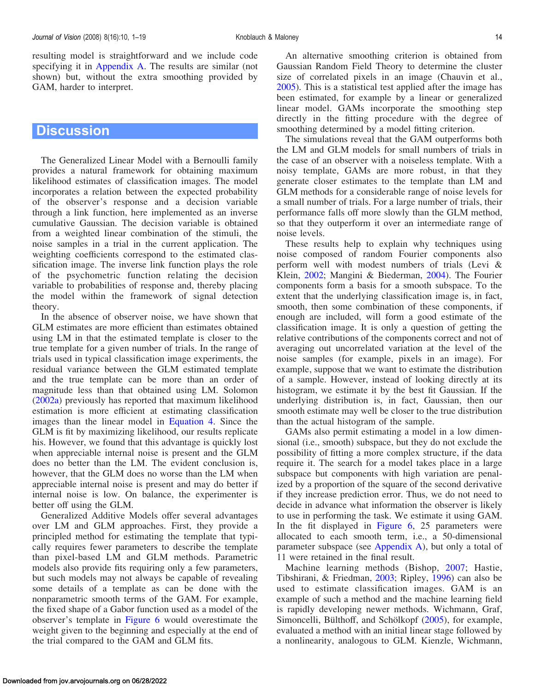resulting model is straightforward and we include code specifying it in [Appendix A.](#page-14-0) The results are similar (not shown) but, without the extra smoothing provided by GAM, harder to interpret.

## **Discussion**

The Generalized Linear Model with a Bernoulli family provides a natural framework for obtaining maximum likelihood estimates of classification images. The model incorporates a relation between the expected probability of the observer's response and a decision variable through a link function, here implemented as an inverse cumulative Gaussian. The decision variable is obtained from a weighted linear combination of the stimuli, the noise samples in a trial in the current application. The weighting coefficients correspond to the estimated classification image. The inverse link function plays the role of the psychometric function relating the decision variable to probabilities of response and, thereby placing the model within the framework of signal detection theory.

In the absence of observer noise, we have shown that GLM estimates are more efficient than estimates obtained using LM in that the estimated template is closer to the true template for a given number of trials. In the range of trials used in typical classification image experiments, the residual variance between the GLM estimated template and the true template can be more than an order of magnitude less than that obtained using LM. Solomon ([2002a](#page-18-0)) previously has reported that maximum likelihood estimation is more efficient at estimating classification images than the linear model in [Equation 4](#page-1-0). Since the GLM is fit by maximizing likelihood, our results replicate his. However, we found that this advantage is quickly lost when appreciable internal noise is present and the GLM does no better than the LM. The evident conclusion is, however, that the GLM does no worse than the LM when appreciable internal noise is present and may do better if internal noise is low. On balance, the experimenter is better off using the GLM.

Generalized Additive Models offer several advantages over LM and GLM approaches. First, they provide a principled method for estimating the template that typically requires fewer parameters to describe the template than pixel-based LM and GLM methods. Parametric models also provide fits requiring only a few parameters, but such models may not always be capable of revealing some details of a template as can be done with the nonparametric smooth terms of the GAM. For example, the fixed shape of a Gabor function used as a model of the observer's template in [Figure 6](#page-10-0) would overestimate the weight given to the beginning and especially at the end of the trial compared to the GAM and GLM fits.

An alternative smoothing criterion is obtained from Gaussian Random Field Theory to determine the cluster size of correlated pixels in an image (Chauvin et al., [2005\)](#page-17-0). This is a statistical test applied after the image has been estimated, for example by a linear or generalized linear model. GAMs incorporate the smoothing step directly in the fitting procedure with the degree of smoothing determined by a model fitting criterion.

The simulations reveal that the GAM outperforms both the LM and GLM models for small numbers of trials in the case of an observer with a noiseless template. With a noisy template, GAMs are more robust, in that they generate closer estimates to the template than LM and GLM methods for a considerable range of noise levels for a small number of trials. For a large number of trials, their performance falls off more slowly than the GLM method, so that they outperform it over an intermediate range of noise levels.

These results help to explain why techniques using noise composed of random Fourier components also perform well with modest numbers of trials (Levi & Klein, [2002](#page-17-0); Mangini & Biederman, [2004](#page-17-0)). The Fourier components form a basis for a smooth subspace. To the extent that the underlying classification image is, in fact, smooth, then some combination of these components, if enough are included, will form a good estimate of the classification image. It is only a question of getting the relative contributions of the components correct and not of averaging out uncorrelated variation at the level of the noise samples (for example, pixels in an image). For example, suppose that we want to estimate the distribution of a sample. However, instead of looking directly at its histogram, we estimate it by the best fit Gaussian. If the underlying distribution is, in fact, Gaussian, then our smooth estimate may well be closer to the true distribution than the actual histogram of the sample.

GAMs also permit estimating a model in a low dimensional (i.e., smooth) subspace, but they do not exclude the possibility of fitting a more complex structure, if the data require it. The search for a model takes place in a large subspace but components with high variation are penalized by a proportion of the square of the second derivative if they increase prediction error. Thus, we do not need to decide in advance what information the observer is likely to use in performing the task. We estimate it using GAM. In the fit displayed in [Figure 6](#page-10-0), 25 parameters were allocated to each smooth term, i.e., a 50-dimensional parameter subspace (see [Appendix A](#page-14-0)), but only a total of 11 were retained in the final result.

Machine learning methods (Bishop, [2007;](#page-17-0) Hastie, Tibshirani, & Friedman, [2003;](#page-17-0) Ripley, [1996](#page-18-0)) can also be used to estimate classification images. GAM is an example of such a method and the machine learning field is rapidly developing newer methods. Wichmann, Graf, Simoncelli, Bülthoff, and Schölkopf [\(2005](#page-18-0)), for example, evaluated a method with an initial linear stage followed by a nonlinearity, analogous to GLM. Kienzle, Wichmann,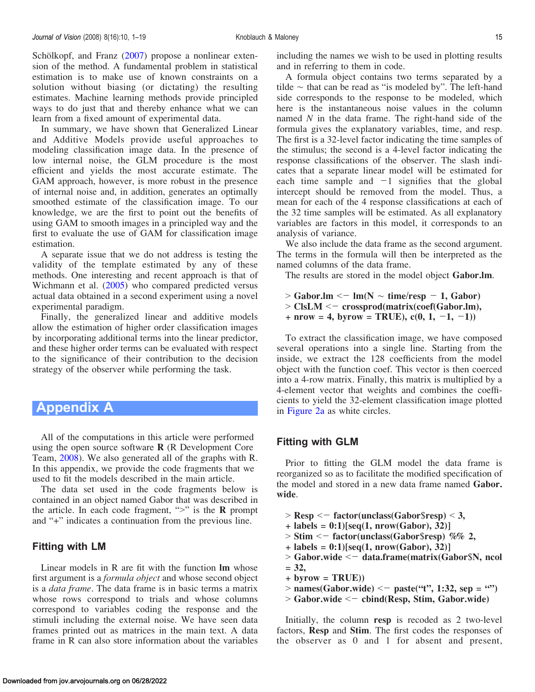<span id="page-14-0"></span>Schölkopf, and Franz  $(2007)$  $(2007)$  propose a nonlinear extension of the method. A fundamental problem in statistical estimation is to make use of known constraints on a solution without biasing (or dictating) the resulting estimates. Machine learning methods provide principled ways to do just that and thereby enhance what we can learn from a fixed amount of experimental data.

In summary, we have shown that Generalized Linear and Additive Models provide useful approaches to modeling classification image data. In the presence of low internal noise, the GLM procedure is the most efficient and yields the most accurate estimate. The GAM approach, however, is more robust in the presence of internal noise and, in addition, generates an optimally smoothed estimate of the classification image. To our knowledge, we are the first to point out the benefits of using GAM to smooth images in a principled way and the first to evaluate the use of GAM for classification image estimation.

A separate issue that we do not address is testing the validity of the template estimated by any of these methods. One interesting and recent approach is that of Wichmann et al. ([2005\)](#page-18-0) who compared predicted versus actual data obtained in a second experiment using a novel experimental paradigm.

Finally, the generalized linear and additive models allow the estimation of higher order classification images by incorporating additional terms into the linear predictor, and these higher order terms can be evaluated with respect to the significance of their contribution to the decision strategy of the observer while performing the task.

# Appendix A

All of the computations in this article were performed using the open source software  $\bf{R}$  ( $\bf{R}$  Development Core Team, [2008](#page-17-0)). We also generated all of the graphs with R. In this appendix, we provide the code fragments that we used to fit the models described in the main article.

The data set used in the code fragments below is contained in an object named Gabor that was described in the article. In each code fragment, " $>$ " is the **R** prompt and "+" indicates a continuation from the previous line.

### Fitting with LM

Linear models in R are fit with the function lm whose first argument is a formula object and whose second object is a data frame. The data frame is in basic terms a matrix whose rows correspond to trials and whose columns correspond to variables coding the response and the stimuli including the external noise. We have seen data frames printed out as matrices in the main text. A data frame in R can also store information about the variables

including the names we wish to be used in plotting results and in referring to them in code.

A formula object contains two terms separated by a tilde  $\sim$  that can be read as "is modeled by". The left-hand side corresponds to the response to be modeled, which here is the instantaneous noise values in the column named N in the data frame. The right-hand side of the formula gives the explanatory variables, time, and resp. The first is a 32-level factor indicating the time samples of the stimulus; the second is a 4-level factor indicating the response classifications of the observer. The slash indicates that a separate linear model will be estimated for each time sample and  $-1$  signifies that the global intercept should be removed from the model. Thus, a mean for each of the 4 response classifications at each of the 32 time samples will be estimated. As all explanatory variables are factors in this model, it corresponds to an analysis of variance.

We also include the data frame as the second argument. The terms in the formula will then be interpreted as the named columns of the data frame.

The results are stored in the model object Gabor.lm.

```
> Gabor.lm \leq - lm(N \sim time/resp - 1, Gabor)
> ClsLM \leq crossprod(matrix(coef(Gabor.lm),
+ nrow = 4, byrow = TRUE), c(0, 1, -1, -1))
```
To extract the classification image, we have composed several operations into a single line. Starting from the inside, we extract the 128 coefficients from the model object with the function coef. This vector is then coerced into a 4-row matrix. Finally, this matrix is multiplied by a 4-element vector that weights and combines the coefficients to yield the 32-element classification image plotted in [Figure 2a](#page-5-0) as white circles.

### Fitting with GLM

Prior to fitting the GLM model the data frame is reorganized so as to facilitate the modified specification of the model and stored in a new data frame named Gabor. wide.

- $>$  Resp  $\le$  factor(unclass(Gabor\$resp)  $\le$  3,
- $+$  labels = 0:1)[seq(1, nrow(Gabor), 32)]
- $>$  Stim  $\le$  factor(unclass(Gabor\$resp) %% 2,
- $+$  labels = 0:1)[seq(1, nrow(Gabor), 32)]
- $>$  Gabor.wide  $\leq$  data.frame(matrix(Gabor\$N, ncol  $= 32$ .
- $+$  byrow = TRUE))
- $\textdegree$  names(Gabor.wide)  $\textdegree$  paste("t", 1:32, sep = "")
- $>$  Gabor.wide  $\leq$  cbind(Resp, Stim, Gabor.wide)

Initially, the column resp is recoded as 2 two-level factors, Resp and Stim. The first codes the responses of the observer as 0 and 1 for absent and present,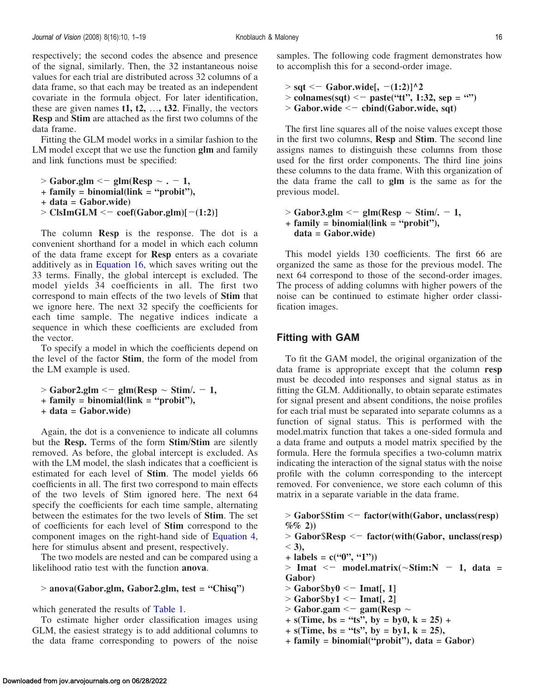respectively; the second codes the absence and presence of the signal, similarly. Then, the 32 instantaneous noise values for each trial are distributed across 32 columns of a data frame, so that each may be treated as an independent covariate in the formula object. For later identification, these are given names  $t1, t2, \ldots, t32$ . Finally, the vectors Resp and Stim are attached as the first two columns of the data frame.

Fitting the GLM model works in a similar fashion to the LM model except that we use the function **glm** and family and link functions must be specified:

```
> Gabor.glm \leq glm(Resp \sim . -1,
+ family = binomial(link = "probit"),
+ data = Gabor.wide)
\geq ClsImGLM \leq coef(Gabor.glm)[-(1:2)]
```
The column **Resp** is the response. The dot is a convenient shorthand for a model in which each column of the data frame except for Resp enters as a covariate additively as in [Equation 16](#page-4-0), which saves writing out the 33 terms. Finally, the global intercept is excluded. The model yields 34 coefficients in all. The first two correspond to main effects of the two levels of Stim that we ignore here. The next 32 specify the coefficients for each time sample. The negative indices indicate a sequence in which these coefficients are excluded from the vector.

To specify a model in which the coefficients depend on the level of the factor Stim, the form of the model from the LM example is used.

```
> Gabor2.glm \leq glm(Resp \sim Stim/. -1,
+ family = binomial(link = "probit"),
```

```
+ data = Gabor.wide)
```
Again, the dot is a convenience to indicate all columns but the Resp. Terms of the form Stim/Stim are silently removed. As before, the global intercept is excluded. As with the LM model, the slash indicates that a coefficient is estimated for each level of Stim. The model yields 66 coefficients in all. The first two correspond to main effects of the two levels of Stim ignored here. The next 64 specify the coefficients for each time sample, alternating between the estimates for the two levels of Stim. The set of coefficients for each level of Stim correspond to the component images on the right-hand side of [Equation 4](#page-1-0), here for stimulus absent and present, respectively.

The two models are nested and can be compared using a likelihood ratio test with the function anova.

## $>$  anova(Gabor.glm, Gabor2.glm, test = "Chisq")

which generated the results of [Table 1.](#page-6-0)

To estimate higher order classification images using GLM, the easiest strategy is to add additional columns to the data frame corresponding to powers of the noise samples. The following code fragment demonstrates how to accomplish this for a second-order image.

```
> sqt \leq Gabor.wide[, -(1:2)]^2
\ge colnames(sqt) \le paste("tt", 1:32, sep = "")
> Gabor.wide \leq cbind(Gabor.wide, sqt)
```
The first line squares all of the noise values except those in the first two columns, Resp and Stim. The second line assigns names to distinguish these columns from those used for the first order components. The third line joins these columns to the data frame. With this organization of the data frame the call to glm is the same as for the previous model.

```
> Gabor3.glm \leq glm(Resp \sim Stim/. - 1,
+ family = binomial(link = "probit"),
  data = Gabor.wide)
```
This model yields 130 coefficients. The first 66 are organized the same as those for the previous model. The next 64 correspond to those of the second-order images. The process of adding columns with higher powers of the noise can be continued to estimate higher order classification images.

### Fitting with GAM

To fit the GAM model, the original organization of the data frame is appropriate except that the column resp must be decoded into responses and signal status as in fitting the GLM. Additionally, to obtain separate estimates for signal present and absent conditions, the noise profiles for each trial must be separated into separate columns as a function of signal status. This is performed with the model.matrix function that takes a one-sided formula and a data frame and outputs a model matrix specified by the formula. Here the formula specifies a two-column matrix indicating the interaction of the signal status with the noise profile with the column corresponding to the intercept removed. For convenience, we store each column of this matrix in a separate variable in the data frame.

 $>$  Gabor \$ Stim  $\leq$  factor(with(Gabor, unclass(resp)  $\% \%$  2))

- $>$  Gabor SResp  $\leq$  factor(with(Gabor, unclass(resp)  $<$  3),
- + labels =  $c("0", "1")$
- $>$  Imat  $\leq$  model.matrix( $\sim$ Stim:N  $-$  1, data = Gabor)
- $>$  Gabor\$by0  $\le$  Imat[, 1]
- $>$  Gabor\$by1  $\le$  Imat[, 2]
- $>$  Gabor.gam  $\leq$  gam(Resp  $\sim$
- $+$  s(Time, bs = "ts", by = by0, k = 25) +
- + s(Time, bs = "ts", by = by1, k = 25),
- + family = binomial("probit"), data = Gabor)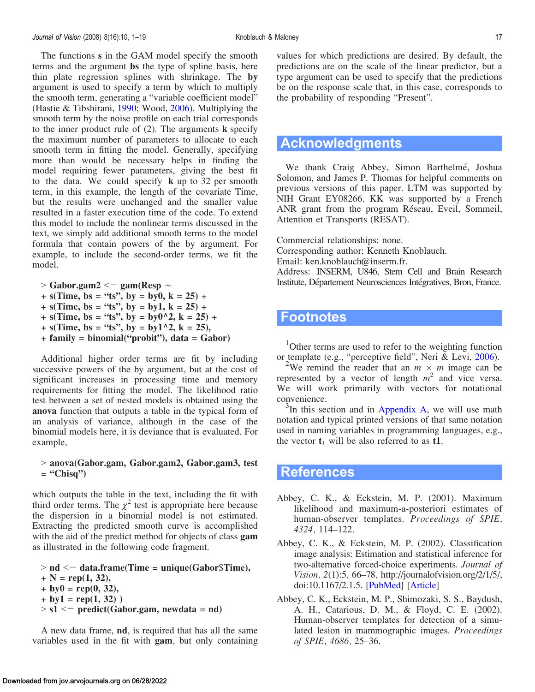<span id="page-16-0"></span>The functions s in the GAM model specify the smooth terms and the argument bs the type of spline basis, here thin plate regression splines with shrinkage. The by argument is used to specify a term by which to multiply the smooth term, generating a "variable coefficient model" (Hastie & Tibshirani, [1990](#page-17-0); Wood, [2006\)](#page-18-0). Multiplying the smooth term by the noise profile on each trial corresponds to the inner product rule of  $(2)$ . The arguments **k** specify the maximum number of parameters to allocate to each smooth term in fitting the model. Generally, specifying more than would be necessary helps in finding the model requiring fewer parameters, giving the best fit to the data. We could specify k up to 32 per smooth term, in this example, the length of the covariate Time, but the results were unchanged and the smaller value resulted in a faster execution time of the code. To extend this model to include the nonlinear terms discussed in the text, we simply add additional smooth terms to the model formula that contain powers of the by argument. For example, to include the second-order terms, we fit the model.

 $>$  Gabor.gam2  $\leq$  gam(Resp  $\sim$ + s(Time, bs = "ts", by = by0, k = 25) +  $+$  s(Time, bs = "ts", by = by1, k = 25) + + s(Time, bs = "ts", by = by $0^{\wedge}2$ , k = 25) + + s(Time, bs = "ts", by = by1^2, k = 25), + family = binomial("probit"), data = Gabor)

Additional higher order terms are fit by including successive powers of the by argument, but at the cost of significant increases in processing time and memory requirements for fitting the model. The likelihood ratio test between a set of nested models is obtained using the anova function that outputs a table in the typical form of an analysis of variance, although in the case of the binomial models here, it is deviance that is evaluated. For example,

### 9 anova(Gabor.gam, Gabor.gam2, Gabor.gam3, test  $=$  "Chisq")

which outputs the table in the text, including the fit with third order terms. The  $\chi^2$  test is appropriate here because the dispersion in a binomial model is not estimated. Extracting the predicted smooth curve is accomplished with the aid of the predict method for objects of class **gam** as illustrated in the following code fragment.

 $>$  nd  $\leq$  data.frame(Time = unique(Gabor\$Time),  $+ N = rep(1, 32),$ 

 $+$  by  $0 =$  rep(0, 32),

- $+$  by  $1 = \text{rep}(1, 32)$ )
- $> s1 < -$  predict(Gabor.gam, newdata = nd)

A new data frame, nd, is required that has all the same variables used in the fit with gam, but only containing values for which predictions are desired. By default, the predictions are on the scale of the linear predictor, but a type argument can be used to specify that the predictions be on the response scale that, in this case, corresponds to the probability of responding "Present".

# Acknowledgments

We thank Craig Abbey, Simon Barthelmé, Joshua Solomon, and James P. Thomas for helpful comments on previous versions of this paper. LTM was supported by NIH Grant EY08266. KK was supported by a French ANR grant from the program Réseau, Eveil, Sommeil, Attention et Transports (RESAT).

Commercial relationships: none.

Corresponding author: Kenneth Knoblauch.

Email: ken.knoblauch@inserm.fr.

Address: INSERM, U846, Stem Cell and Brain Research Institute, Département Neurosciences Intégratives, Bron, France.

# Footnotes

<sup>1</sup>Other terms are used to refer to the weighting function or template (e.g., "perceptive field", Neri & Levi, [2006\)](#page-17-0). <sup>2</sup>

We remind the reader that an  $m \times m$  image can be represented by a vector of length  $m<sup>2</sup>$  and vice versa. We will work primarily with vectors for notational convenience.

 $3<sup>3</sup>$ In this section and in [Appendix A,](#page-14-0) we will use math notation and typical printed versions of that same notation used in naming variables in programming languages, e.g., the vector  $t_1$  will be also referred to as t1.

## References

- Abbey, C. K., & Eckstein, M. P. (2001). Maximum likelihood and maximum-a-posteriori estimates of human-observer templates. Proceedings of SPIE, 4324, 114–122.
- Abbey, C. K., & Eckstein, M. P. (2002). Classification image analysis: Estimation and statistical inference for two-alternative forced-choice experiments. Journal of Vision, 2(1):5, 66–78, http://journalofvision.org/2/1/5/, doi:10.1167/2.1.5. [\[PubMed\]](http://www.ncbi.nlm.nih.gov/pubmed/12678597?ordinalpos=58&itool=EntrezSystem2.PEntrez.Pubmed.Pubmed_ResultsPanel.Pubmed_DefaultReportPanel.Pubmed_RVDocSum) [\[Article](http://journalofvision.org/2/1/5/)]
- Abbey, C. K., Eckstein, M. P., Shimozaki, S. S., Baydush, A. H., Catarious, D. M., & Floyd, C. E. (2002). Human-observer templates for detection of a simulated lesion in mammographic images. Proceedings of SPIE, 4686, 25–36.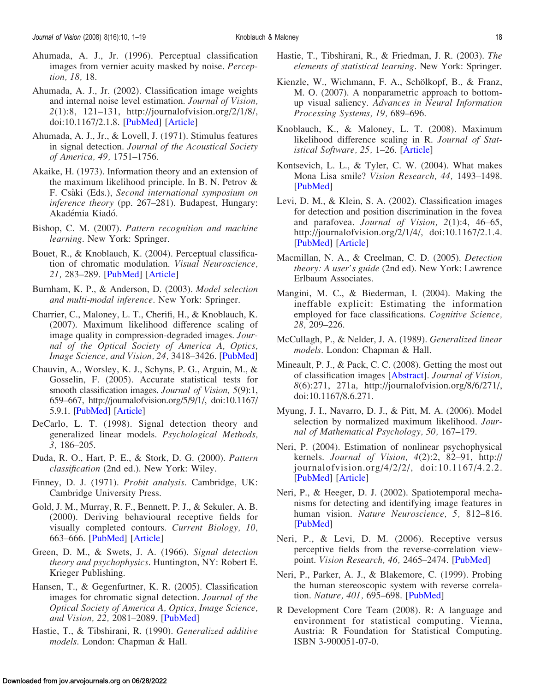- <span id="page-17-0"></span>Ahumada, A. J., Jr. (1996). Perceptual classification images from vernier acuity masked by noise. Perception, 18, 18.
- Ahumada, A. J., Jr. (2002). Classification image weights and internal noise level estimation. Journal of Vision, 2(1):8, 121–131, http://journalofvision.org/2/1/8/, doi:10.1167/2.1.8. [\[PubMed](http://www.ncbi.nlm.nih.gov/pubmed/12678600?ordinalpos=5&itool=EntrezSystem2.PEntrez.Pubmed.Pubmed_ResultsPanel.Pubmed_DefaultReportPanel.Pubmed_RVDocSum)] [\[Article\]](http://journalofvision.org/2/1/8/)
- Ahumada, A. J., Jr., & Lovell, J. (1971). Stimulus features in signal detection. Journal of the Acoustical Society of America, 49, 1751–1756.
- Akaike, H. (1973). Information theory and an extension of the maximum likelihood principle. In B. N. Petrov & F. Csàki (Eds.), Second international symposium on inference theory (pp. 267–281). Budapest, Hungary: Akadémia Kiadó.
- Bishop, C. M. (2007). Pattern recognition and machine learning. New York: Springer.
- Bouet, R., & Knoblauch, K. (2004). Perceptual classification of chromatic modulation. Visual Neuroscience, 21, 283–289. [\[PubMed](http://www.ncbi.nlm.nih.gov/pubmed/15518201?ordinalpos=3&itool=EntrezSystem2.PEntrez.Pubmed.Pubmed_ResultsPanel.Pubmed_DefaultReportPanel.Pubmed_RVDocSum)] [\[Article\]](http://www.pubmedcentral.nih.gov/articlerender.fcgi?tool=pubmed&pubmedid=15518201)
- Burnham, K. P., & Anderson, D. (2003). Model selection and multi-modal inference. New York: Springer.
- Charrier, C., Maloney, L. T., Cherifi, H., & Knoblauch, K. (2007). Maximum likelihood difference scaling of image quality in compression-degraded images. Journal of the Optical Society of America A, Optics, Image Science, and Vision, 24, 3418–3426. [[PubMed\]](http://www.ncbi.nlm.nih.gov/pubmed/17975567?ordinalpos=1&itool=EntrezSystem2.PEntrez.Pubmed.Pubmed_ResultsPanel.Pubmed_DefaultReportPanel.Pubmed_RVDocSum)
- Chauvin, A., Worsley, K. J., Schyns, P. G., Arguin, M., & Gosselin, F. (2005). Accurate statistical tests for smooth classification images. Journal of Vision, 5(9):1, 659–667, http://journalofvision.org/5/9/1/, doi:10.1167/ 5.9.1. [\[PubMed](http://www.ncbi.nlm.nih.gov/pubmed/16356076?ordinalpos=12&itool=EntrezSystem2.PEntrez.Pubmed.Pubmed_ResultsPanel.Pubmed_DefaultReportPanel.Pubmed_RVDocSum)] [[Article\]](http://journalofvision.org/5/9/1/)
- DeCarlo, L. T. (1998). Signal detection theory and generalized linear models. Psychological Methods, 3, 186–205.
- Duda, R. O., Hart, P. E., & Stork, D. G. (2000). Pattern classification (2nd ed.). New York: Wiley.
- Finney, D. J. (1971). Probit analysis. Cambridge, UK: Cambridge University Press.
- Gold, J. M., Murray, R. F., Bennett, P. J., & Sekuler, A. B. (2000). Deriving behavioural receptive fields for visually completed contours. Current Biology, 10, 663–666. [\[PubMed](http://www.ncbi.nlm.nih.gov/pubmed/10837252?ordinalpos=37&itool=EntrezSystem2.PEntrez.Pubmed.Pubmed_ResultsPanel.Pubmed_DefaultReportPanel.Pubmed_RVDocSum)] [\[Article\]](http://www.sciencedirect.com/science?_ob=ArticleURL&_udi=B6VRT-40J781Y-N&_user=10&_rdoc=1&_fmt=&_orig=search&_sort=d&view=c&_version=1&_urlVersion=0&_userid=10&md5=fe21a179673d6c7384629acb523e4e6c)
- Green, D. M., & Swets, J. A. (1966). Signal detection theory and psychophysics. Huntington, NY: Robert E. Krieger Publishing.
- Hansen, T., & Gegenfurtner, K. R. (2005). Classification images for chromatic signal detection. Journal of the Optical Society of America A, Optics, Image Science, and Vision, 22, 2081–2089. [[PubMed\]](http://www.ncbi.nlm.nih.gov/pubmed/16277279?ordinalpos=1&itool=EntrezSystem2.PEntrez.Pubmed.Pubmed_ResultsPanel.Pubmed_DefaultReportPanel.Pubmed_RVDocSum)
- Hastie, T., & Tibshirani, R. (1990). Generalized additive models. London: Chapman & Hall.
- Hastie, T., Tibshirani, R., & Friedman, J. R. (2003). The elements of statistical learning. New York: Springer.
- Kienzle, W., Wichmann, F. A., Schölkopf, B., & Franz, M. O. (2007). A nonparametric approach to bottomup visual saliency. Advances in Neural Information Processing Systems, 19, 689–696.
- Knoblauch, K., & Maloney, L. T. (2008). Maximum likelihood difference scaling in R. Journal of Statistical Software, 25, 1–26. [[Article](http://www.jstatsoft.org/v25/i02)]
- Kontsevich, L. L., & Tyler, C. W. (2004). What makes Mona Lisa smile? Vision Research, 44, 1493–1498. [\[PubMed](http://www.ncbi.nlm.nih.gov/pubmed/15126060?ordinalpos=5&itool=EntrezSystem2.PEntrez.Pubmed.Pubmed_ResultsPanel.Pubmed_DefaultReportPanel.Pubmed_RVDocSum)]
- Levi, D. M., & Klein, S. A. (2002). Classification images for detection and position discrimination in the fovea and parafovea. Journal of Vision, 2(1):4, 46–65, http://journalofvision.org/2/1/4/, doi:10.1167/2.1.4. [\[PubMed](http://www.ncbi.nlm.nih.gov/pubmed/12678596?ordinalpos=35&itool=EntrezSystem2.PEntrez.Pubmed.Pubmed_ResultsPanel.Pubmed_DefaultReportPanel.Pubmed_RVDocSum)] [\[Article\]](http://journalofvision.org/2/1/4/)
- Macmillan, N. A., & Creelman, C. D. (2005). Detection theory: A user's guide (2nd ed). New York: Lawrence Erlbaum Associates.
- Mangini, M. C., & Biederman, I. (2004). Making the ineffable explicit: Estimating the information employed for face classifications. Cognitive Science, 28, 209–226.
- McCullagh, P., & Nelder, J. A. (1989). Generalized linear models. London: Chapman & Hall.
- Mineault, P. J., & Pack, C. C. (2008). Getting the most out of classification images [[Abstract](http://journalofvision.org/8/6/271/)]. Journal of Vision, 8(6):271, 271a, http://journalofvision.org/8/6/271/, doi:10.1167/8.6.271.
- Myung, J. I., Navarro, D. J., & Pitt, M. A. (2006). Model selection by normalized maximum likelihood. Journal of Mathematical Psychology, 50, 167–179.
- Neri, P. (2004). Estimation of nonlinear psychophysical kernels. Journal of Vision, 4(2):2, 82–91, http:// journalofvision.org/4/2/2/, doi:10.1167/4.2.2. [\[PubMed](http://www.ncbi.nlm.nih.gov/pubmed/15005649?ordinalpos=67&itool=EntrezSystem2.PEntrez.Pubmed.Pubmed_ResultsPanel.Pubmed_DefaultReportPanel.Pubmed_RVDocSum)] [\[Article\]](http://journalofvision.org/4/2/2/)
- Neri, P., & Heeger, D. J. (2002). Spatiotemporal mechanisms for detecting and identifying image features in human vision. Nature Neuroscience, 5, 812–816. [\[PubMed](http://www.ncbi.nlm.nih.gov/pubmed/12101403?ordinalpos=25&itool=EntrezSystem2.PEntrez.Pubmed.Pubmed_ResultsPanel.Pubmed_DefaultReportPanel.Pubmed_RVDocSum)]
- Neri, P., & Levi, D. M. (2006). Receptive versus perceptive fields from the reverse-correlation viewpoint. Vision Research, 46, 2465–2474. [[PubMed\]](http://www.ncbi.nlm.nih.gov/pubmed/16542700?ordinalpos=39&itool=EntrezSystem2.PEntrez.Pubmed.Pubmed_ResultsPanel.Pubmed_DefaultReportPanel.Pubmed_RVDocSum)
- Neri, P., Parker, A. J., & Blakemore, C. (1999). Probing the human stereoscopic system with reverse correla-tion. Nature, 401, 695-698. [[PubMed\]](http://www.ncbi.nlm.nih.gov/pubmed/10537107?ordinalpos=53&itool=EntrezSystem2.PEntrez.Pubmed.Pubmed_ResultsPanel.Pubmed_DefaultReportPanel.Pubmed_RVDocSum)
- R Development Core Team (2008). R: A language and environment for statistical computing. Vienna, Austria: R Foundation for Statistical Computing. ISBN 3-900051-07-0.